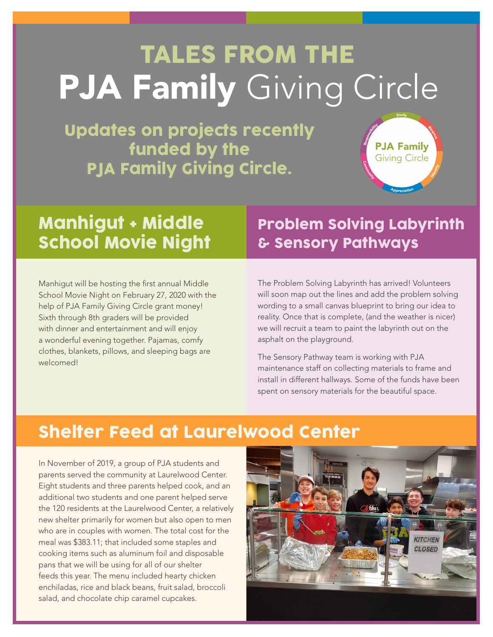## TALES FROM THE **PJA Family Giving Circle**

Updates on projects recently funded by the PJA Family Giving Circle.



### Manhigut + Middle School Movie Night

Ī

Manhigut will be hosting the first annual Middle School Movie Night on February 27, 2020 with the help of PJA Family Giving Circle grant money! Sixth through 8th graders will be provided with dinner and entertainment and will enjoy a wonderful evening together. Pajamas, comfy clothes, blankets, pillows, and sleeping bags are welcomed!

### Problem Solving Labyrinth & Sensory Pathways

The Problem Solving Labyrinth has arrived! Volunteers will soon map out the lines and add the problem solving wording to a small canvas blueprint to bring our idea to reality. Once that is complete, (and the weather is nicer) we will recruit a team to paint the labyrinth out on the asphalt on the playground.

The Sensory Pathway team is working with PJA maintenance staff on collecting materials to frame and install in different hallways. Some of the funds have been spent on sensory materials for the beautiful space.

### Shelter Feed at Laurelwood Center

In November of 2019, a group of PJA students and parents served the community at Laurelwood Center. Eight students and three parents helped cook, and an additional two students and one parent helped serve the 120 residents at the Laurelwood Center, a relatively new shelter primarily for women but also open to men who are in couples with women. The total cost for the meal was \$383.11; that included some staples and cooking items such as aluminum foil and disposable pans that we will be using for all of our shelter feeds this year. The menu included hearty chicken enchiladas, rice and black beans, fruit salad, broccoli salad, and chocolate chip caramel cupcakes.